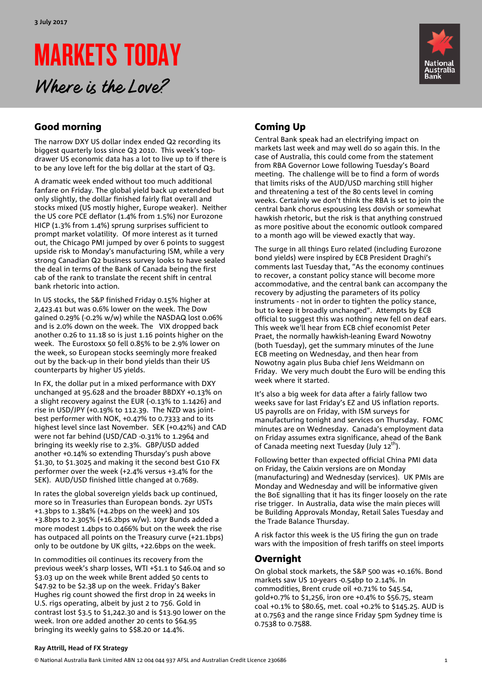# MARKETS TODAY

Where is the Love?



### Good morning

The narrow DXY US dollar index ended Q2 recording its biggest quarterly loss since Q3 2010. This week's topdrawer US economic data has a lot to live up to if there is to be any love left for the big dollar at the start of Q3.

A dramatic week ended without too much additional fanfare on Friday. The global yield back up extended but only slightly, the dollar finished fairly flat overall and stocks mixed (US mostly higher, Europe weaker). Neither the US core PCE deflator (1.4% from 1.5%) nor Eurozone HICP (1.3% from 1.4%) sprung surprises sufficient to prompt market volatility. Of more interest as it turned out, the Chicago PMI jumped by over 6 points to suggest upside risk to Monday's manufacturing ISM, while a very strong Canadian Q2 business survey looks to have sealed the deal in terms of the Bank of Canada being the first cab of the rank to translate the recent shift in central bank rhetoric into action.

In US stocks, the S&P finished Friday 0.15% higher at 2,423.41 but was 0.6% lower on the week. The Dow gained 0.29% (-0.2% w/w) while the NASDAQ lost 0.06% and is 2.0% down on the week. The VIX dropped back another 0.26 to 11.18 so is just 1.16 points higher on the week. The Eurostoxx 50 fell 0.85% to be 2.9% lower on the week, so European stocks seemingly more freaked out by the back-up in their bond yields than their US counterparts by higher US yields.

In FX, the dollar put in a mixed performance with DXY unchanged at 95.628 and the broader BBDXY +0.13% on a slight recovery against the EUR (-0.13% to 1.1426) and rise in USD/JPY (+0.19% to 112.39. The NZD was jointbest performer with NOK, +0.47% to 0.7333 and to its highest level since last November. SEK (+0.42%) and CAD were not far behind (USD/CAD -0.31% to 1.2964 and bringing its weekly rise to 2.3%. GBP/USD added another +0.14% so extending Thursday's push above \$1.30, to \$1.3025 and making it the second best G10 FX performer over the week (+2.4% versus +3.4% for the SEK). AUD/USD finished little changed at 0.7689.

In rates the global sovereign yields back up continued, more so in Treasuries than European bonds. 2yr USTs +1.3bps to 1.384% (+4.2bps on the week) and 10s +3.8bps to 2.305% (+16.2bps w/w). 10yr Bunds added a more modest 1.4bps to 0.466% but on the week the rise has outpaced all points on the Treasury curve (+21.1bps) only to be outdone by UK gilts, +22.6bps on the week.

In commodities oil continues its recovery from the previous week's sharp losses, WTI +\$1.1 to \$46.04 and so \$3.03 up on the week while Brent added 50 cents to \$47.92 to be \$2.38 up on the week. Friday's Baker Hughes rig count showed the first drop in 24 weeks in U.S. rigs operating, albeit by just 2 to 756. Gold in contrast lost \$3.5 to \$1,242.30 and is \$13.90 lower on the week. Iron ore added another 20 cents to \$64.95 bringing its weekly gains to \$\$8.20 or 14.4%.

## Coming Up

Central Bank speak had an electrifying impact on markets last week and may well do so again this. In the case of Australia, this could come from the statement from RBA Governor Lowe following Tuesday's Board meeting. The challenge will be to find a form of words that limits risks of the AUD/USD marching still higher and threatening a test of the 80 cents level in coming weeks. Certainly we don't think the RBA is set to join the central bank chorus espousing less dovish or somewhat hawkish rhetoric, but the risk is that anything construed as more positive about the economic outlook compared to a month ago will be viewed exactly that way.

The surge in all things Euro related (including Eurozone bond yields) were inspired by ECB President Draghi's comments last Tuesday that, "As the economy continues to recover, a constant policy stance will become more accommodative, and the central bank can accompany the recovery by adjusting the parameters of its policy instruments - not in order to tighten the policy stance, but to keep it broadly unchanged". Attempts by ECB official to suggest this was nothing new fell on deaf ears. This week we'll hear from ECB chief economist Peter Praet, the normally hawkish-leaning Eward Nowotny (both Tuesday), get the summary minutes of the June ECB meeting on Wednesday, and then hear from Nowotny again plus Buba chief Jens Weidmann on Friday. We very much doubt the Euro will be ending this week where it started.

It's also a big week for data after a fairly fallow two weeks save for last Friday's EZ and US inflation reports. US payrolls are on Friday, with ISM surveys for manufacturing tonight and services on Thursday. FOMC minutes are on Wednesday. Canada's employment data on Friday assumes extra significance, ahead of the Bank of Canada meeting next Tuesday (July 12<sup>th</sup>).

Following better than expected official China PMI data on Friday, the Caixin versions are on Monday (manufacturing) and Wednesday (services). UK PMIs are Monday and Wednesday and will be informative given the BoE signalling that it has its finger loosely on the rate rise trigger. In Australia, data wise the main pieces will be Building Approvals Monday, Retail Sales Tuesday and the Trade Balance Thursday.

A risk factor this week is the US firing the gun on trade wars with the imposition of fresh tariffs on steel imports

### Overnight

On global stock markets, the S&P 500 was +0.16%. Bond markets saw US 10-years -0.54bp to 2.14%. In commodities, Brent crude oil +0.71% to \$45.54, gold+0.7% to \$1,256, iron ore +0.4% to \$56.75, steam coal +0.1% to \$80.65, met. coal +0.2% to \$145.25. AUD is at 0.7563 and the range since Friday 5pm Sydney time is 0.7538 to 0.7588.

### **Ray Attrill, Head of FX Strategy**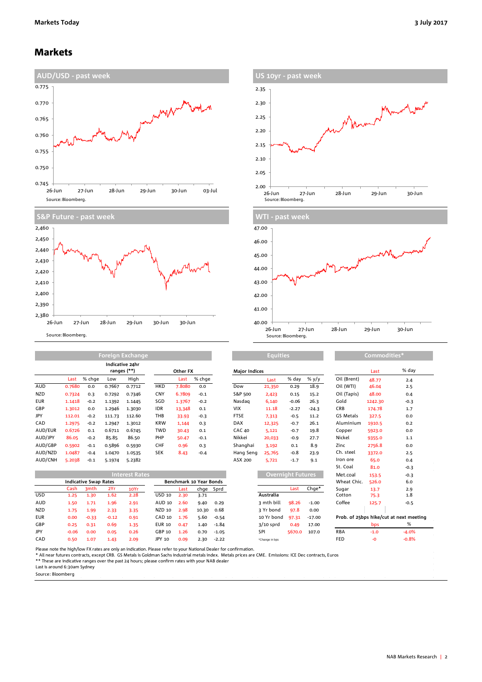### Markets









**Equities Commodities** 

|            |        |        | Indicative 24hr<br>ranges (**) |        |            | Other FX |        | <b>Major Indices</b> |        |         |         | Last        | % da    |        |
|------------|--------|--------|--------------------------------|--------|------------|----------|--------|----------------------|--------|---------|---------|-------------|---------|--------|
|            | Last   | % chge | Low                            | High   |            | Last     | % chge |                      | Last   | % day   | $%$ y/y | Oil (Brent) | 48.77   | 2.4    |
| <b>AUD</b> | 0.7680 | 0.0    | 0.7667                         | 0.7712 | <b>HKD</b> | 7.8080   | 0.0    | Dow                  | 21,350 | 0.29    | 18.9    | Oil (WTI)   | 46.04   | 2.5    |
| <b>NZD</b> | 0.7324 | 0.3    | 0.7292                         | 0.7346 | <b>CNY</b> | 6.7809   | $-0.1$ | S&P 500              | 2,423  | 0.15    | 15.2    | Oil (Tapis) | 48.00   | 0.4    |
| <b>EUR</b> | 1.1418 | $-0.2$ | 1.1392                         | 1.1445 | SGD        | 1.3767   | $-0.2$ | Nasdag               | 6,140  | $-0.06$ | 26.3    | Gold        | 1242.30 | $-0.3$ |
| GBP        | 1.3012 | 0.0    | 1.2946                         | 1.3030 | <b>IDR</b> | 13,348   | 0.1    | <b>VIX</b>           | 11.18  | $-2.27$ | $-24.3$ | <b>CRB</b>  | 174.78  | 1.7    |
| <b>JPY</b> | 112.01 | $-0.2$ | 111.73                         | 112.60 | THB        | 33.93    | $-0.3$ | <b>FTSE</b>          | 7,313  | $-0.5$  | 11.2    | GS Metals   | 327.5   | 0.0    |
| CAD        | 1.2975 | $-0.2$ | 1.2947                         | 1.3012 | <b>KRW</b> | 1,144    | 0.3    | <b>DAX</b>           | 12,325 | $-0.7$  | 26.1    | Aluminium   | 1910.5  | 0.2    |
| AUD/EUR    | 0.6726 | 0.1    | 0.6711                         | 0.6745 | TWD        | 30.43    | 0.1    | <b>CAC 40</b>        | 5,121  | $-0.7$  | 19.8    | Copper      | 5923.0  | 0.0    |
| AUD/JPY    | 86.05  | $-0.2$ | 85.85                          | 86.50  | PHP        | 50.47    | $-0.1$ | Nikkei               | 20,033 | $-0.9$  | 27.7    | Nickel      | 9355.0  | 1.1    |
| AUD/GBP    | 0.5902 | $-0.1$ | 0.5896                         | 0.5930 | <b>CHF</b> | 0.96     | 0.3    | Shanghai             | 3.192  | 0.1     | 8.9     | Zinc        | 2756.8  | 0.0    |
| AUD/NZD    | 1.0487 | $-0.4$ | 1.0470                         | 1.0535 | <b>SEK</b> | 8.43     | $-0.4$ | Hang Seng            | 25,765 | $-0.8$  | 23.9    | Ch. steel   | 3372.0  | 2.5    |
| AUD/CNH    | 5.2038 | $-0.1$ | 5.1974                         | 5.2382 |            |          |        | ASX 200              | 5,721  | $-1.7$  | 9.1     | Iron ore    | 65.0    | 0.4    |

**Foreign Exchang** 

| EUK        | 1.1418                       | -0.2             | 1.1392  | 1.1445                | suv           | 1.3/6/                  | $-0.2$ |         | Nasdaq        | b, 140                   | -0.06   | 26.3     | Gold        | 1242.30 | -0.3                                    |
|------------|------------------------------|------------------|---------|-----------------------|---------------|-------------------------|--------|---------|---------------|--------------------------|---------|----------|-------------|---------|-----------------------------------------|
| GBP        | 1.3012                       | 0.0              | 1.2946  | 1.3030                | <b>IDR</b>    | 13,348                  | 0.1    |         | <b>VIX</b>    | 11.18                    | $-2.27$ | $-24.3$  | CRB         | 174.78  | 1.7                                     |
| JPY        | 112.01                       | $-0.2$           | 111.73  | 112.60                | THB           | 33.93                   | $-0.3$ |         | <b>FTSE</b>   | 7,313                    | $-0.5$  | 11.2     | GS Metals   | 327.5   | 0.0                                     |
| CAD        | 1.2975                       | $-0.2$           | 1.2947  | 1.3012                | <b>KRW</b>    | 1,144                   | 0.3    |         | <b>DAX</b>    | 12,325                   | $-0.7$  | 26.1     | Aluminium   | 1910.5  | 0.2                                     |
| AUD/EUR    | 0.6726                       | 0.1              | 0.6711  | 0.6745                | <b>TWD</b>    | 30.43                   | 0.1    |         | <b>CAC 40</b> | 5,121                    | $-0.7$  | 19.8     | Copper      | 5923.0  | 0.0                                     |
| AUD/JPY    | 86.05                        | $-0.2$           | 85.85   | 86.50                 | PHP           | 50.47                   | $-0.1$ |         | Nikkei        | 20,033                   | $-0.9$  | 27.7     | Nickel      | 9355.0  | 1.1                                     |
| AUD/GBP    | 0.5902                       | $-0.1$           | 0.5896  | 0.5930                | <b>CHF</b>    | 0.96                    | 0.3    |         | Shanghai      | 3,192                    | 0.1     | 8.9      | Zinc        | 2756.8  | 0.0                                     |
| AUD/NZD    | 1.0487                       | $-0.4$           | 1.0470  | 1.0535                | <b>SEK</b>    | 8.43                    | $-0.4$ |         | Hang Seng     | 25,765                   | $-0.8$  | 23.9     | Ch. steel   | 3372.0  | 2.5                                     |
| AUD/CNH    | 5.2038                       | $-0.1$           | 5.1974  | 5.2382                |               |                         |        |         | ASX 200       | 5,721                    | $-1.7$  | 9.1      | Iron ore    | 65.0    | 0.4                                     |
|            |                              |                  |         |                       |               |                         |        |         |               |                          |         |          | St. Coal    | 81.0    | $-0.3$                                  |
|            |                              |                  |         | <b>Interest Rates</b> |               |                         |        |         |               | <b>Overnight Futures</b> |         |          | Met.coal    | 153.5   | $-0.3$                                  |
|            | <b>Indicative Swap Rates</b> |                  |         |                       |               | Benchmark 10 Year Bonds |        |         |               |                          |         |          | Wheat Chic. | 526.0   | 6.0                                     |
|            | Cash                         | 3 <sub>mth</sub> | 2Yr     | 10Yr                  |               | Last                    | chge   | Sprd    |               |                          | Last    | $Chge*$  | Sugar       | 13.7    | 2.9                                     |
| <b>USD</b> | 1.25                         | 1.30             | 1.62    | 2.28                  | <b>USD 10</b> | 2.30                    | 3.71   |         |               | Australia                |         |          | Cotton      | 75.3    | 1.8                                     |
| AUD        | 1.50                         | 1.71             | 1.96    | 2.91                  | AUD 10        | 2.60                    | 9.40   | 0.29    |               | 3 mth bill               | 98.26   | $-1.00$  | Coffee      | 125.7   | $-0.5$                                  |
| <b>NZD</b> | 1.75                         | 1.99             | 2.33    | 3.35                  | NZD 10        | 2.98                    | 10.30  | 0.68    |               | 3 Yr bond                | 97.8    | 0.00     |             |         |                                         |
| <b>EUR</b> | 0.00                         | $-0.33$          | $-0.12$ | 0.91                  | CAD 10        | 1.76                    | 5.60   | $-0.54$ |               | 10 Yr bond               | 97.31   | $-17.00$ |             |         | Prob. of 25bps hike/cut at next meeting |
| GBP        | 0.25                         | 0.31             | 0.69    | 1.35                  | <b>EUR 10</b> | 0.47                    | 1.40   | $-1.84$ |               | $3/10$ sprd              | 0.49    | 17.00    |             | bps     | %                                       |
|            |                              |                  |         |                       |               |                         |        |         |               |                          |         |          |             |         |                                         |

|            |         |                              | ranges (**) |                       | Other FX                |        |        | <b>Major Indices</b> |               |                  |                          |             | Last        | % day   |                                         |
|------------|---------|------------------------------|-------------|-----------------------|-------------------------|--------|--------|----------------------|---------------|------------------|--------------------------|-------------|-------------|---------|-----------------------------------------|
|            | Last    | % chge                       | Low         | High                  |                         | Last   | % chge |                      |               | Last             | % day                    | % y/y       | Oil (Brent) | 48.77   | 2.4                                     |
| AUD        | 0.7680  | 0.0                          | 0.7667      | 0.7712                | HKD                     | 7.8080 | 0.0    |                      | Dow           | 21,350           | 0.29                     | 18.9        | Oil (WTI)   | 46.04   | 2.5                                     |
| <b>NZD</b> | 0.7324  | 0.3                          | 0.7292      | 0.7346                | <b>CNY</b>              | 6.7809 | $-0.1$ |                      | S&P 500       | 2,423            | 0.15                     | 15.2        | Oil (Tapis) | 48.00   | 0.4                                     |
| <b>EUR</b> | 1.1418  | $-0.2$                       | 1.1392      | 1.1445                | SGD                     | 1.3767 | $-0.2$ |                      | Nasdag        | 6,140            | $-0.06$                  | 26.3        | Gold        | 1242.30 | $-0.3$                                  |
| GBP        | 1.3012  | 0.0                          | 1.2946      | 1.3030                | <b>IDR</b>              | 13,348 | 0.1    |                      | VIX           | 11.18            | $-2.27$                  | $-24.3$     | <b>CRB</b>  | 174.78  | 1.7                                     |
| JPY        | 112.01  | $-0.2$                       | 111.73      | 112.60                | THB                     | 33.93  | $-0.3$ |                      | <b>FTSE</b>   | 7,313            | $-0.5$                   | 11.2        | GS Metals   | 327.5   | 0.0                                     |
| CAD        | 1.2975  | $-0.2$                       | 1.2947      | 1.3012                | <b>KRW</b>              | 1,144  | 0.3    |                      | <b>DAX</b>    | 12,325           | $-0.7$                   | 26.1        | Aluminium   | 1910.5  | 0.2                                     |
| AUD/EUR    | 0.6726  | 0.1                          | 0.6711      | 0.6745                | <b>TWD</b>              | 30.43  | 0.1    |                      | <b>CAC 40</b> | 5,121            | $-0.7$                   | 19.8        | Copper      | 5923.0  | 0.0                                     |
| AUD/JPY    | 86.05   | $-0.2$                       | 85.85       | 86.50                 | PHP                     | 50.47  | $-0.1$ |                      | Nikkei        | 20,033           | $-0.9$                   | 27.7        | Nickel      | 9355.0  | 1.1                                     |
| AUD/GBP    | 0.5902  | $-0.1$                       | 0.5896      | 0.5930                | <b>CHF</b>              | 0.96   | 0.3    |                      | Shanghai      | 3,192            | 0.1                      | 8.9         | Zinc        | 2756.8  | 0.0                                     |
| AUD/NZD    | 1.0487  | $-0.4$                       | 1.0470      | 1.0535                | <b>SEK</b>              | 8.43   | $-0.4$ |                      | Hang Seng     | 25,765           | $-0.8$                   | 23.9        | Ch. steel   | 3372.0  | 2.5                                     |
| AUD/CNH    | 5.2038  | $-0.1$                       | 5.1974      | 5.2382                |                         |        |        |                      | ASX 200       | 5,721            | $-1.7$                   | 9.1         | Iron ore    | 65.0    | 0.4                                     |
|            |         |                              |             |                       |                         |        |        |                      |               |                  |                          |             | St. Coal    | 81.0    | $-0.3$                                  |
|            |         |                              |             | <b>Interest Rates</b> |                         |        |        |                      |               |                  | <b>Overnight Futures</b> |             | Met.coal    | 153.5   | $-0.3$                                  |
|            |         | <b>Indicative Swap Rates</b> |             |                       | Benchmark 10 Year Bonds |        |        |                      |               |                  |                          | Wheat Chic. | 526.0       | 6.0     |                                         |
|            | Cash    | 3mth                         | 2Yr         | 10Yr                  |                         | Last   | chge   | Sprd                 |               |                  | Last                     | Chge*       | Sugar       | 13.7    | 2.9                                     |
| USD        | 1.25    | 1.30                         | 1.62        | 2.28                  | USD 10                  | 2.30   | 3.71   |                      |               | <b>Australia</b> |                          |             | Cotton      | 75.3    | 1.8                                     |
| AUD        | 1.50    | 1.71                         | 1.96        | 2.91                  | AUD 10                  | 2.60   | 9.40   | 0.29                 |               | 3 mth bill       | 98.26                    | $-1.00$     | Coffee      | 125.7   | $-0.5$                                  |
| <b>NZD</b> | 1.75    | 1.99                         | 2.33        | 3.35                  | NZD 10                  | 2.98   | 10.30  | 0.68                 |               | 3 Yr bond        | 97.8                     | 0.00        |             |         |                                         |
| <b>EUR</b> | 0.00    | $-0.33$                      | $-0.12$     | 0.91                  | <b>CAD 10</b>           | 1.76   | 5.60   | $-0.54$              |               | 10 Yr bond       | 97.31                    | $-17.00$    |             |         | Prob. of 25bps hike/cut at next meeting |
| GBP        | 0.25    | 0.31                         | 0.69        | 1.35                  | <b>EUR 10</b>           | 0.47   | 1.40   | $-1.84$              |               | $3/10$ sprd      | 0.49                     | 17.00       |             | bps     | %                                       |
| JPY        | $-0.06$ | 0.00                         | 0.05        | 0.26                  | GBP 10                  | 1.26   | 0.70   | $-1.05$              |               | SPI              | 5670.0                   | 107.0       | <b>RBA</b>  | $-1.0$  | $-4.0%$                                 |
| CAD        | 0.50    | 1.07                         | 1.43        | 2.09                  | JPY 10                  | 0.09   | 2.30   | $-2.22$              |               | *Change in bps   |                          |             | <b>FED</b>  | $-o$    | $-0.8%$                                 |

Please note the high/low FX rates are only an indication. Please refer to your National Dealer for confirmation.<br>\* All near futures contracts, except CRB. GS Metals is Goldman Sachs industrial metals nolex. Metals prices a

Last is around 6:30am Sydney

Source: Bloomberg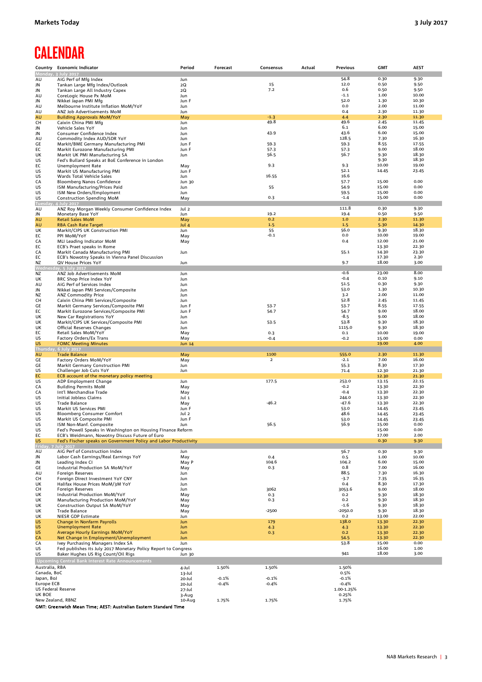# **CALENDAR**

|                                  | Country Economic Indicator                                                                                    | Period          | Forecast | Consensus      | Actual | Previous              | <b>GMT</b>     | <b>AEST</b>    |
|----------------------------------|---------------------------------------------------------------------------------------------------------------|-----------------|----------|----------------|--------|-----------------------|----------------|----------------|
|                                  | Monday, 3 July 2017                                                                                           |                 |          |                |        |                       |                |                |
| AU                               | AiG Perf of Mfg Index                                                                                         | Jun             |          |                |        | 54.8                  | 0.30           | 9.30           |
| JN                               | Tankan Large Mfg Index/Outlook                                                                                | 2Q              |          | 15             |        | 12.0                  | 0.50           | 9.50           |
| JN                               | Tankan Large All Industry Capex                                                                               | 2Q              |          | 7.2            |        | 0.6                   | 0.50           | 9.50           |
| AU                               | CoreLogic House Px MoM                                                                                        | Jun             |          |                |        | $-1.1$                | 1.00           | 10.00          |
| JN                               | Nikkei Japan PMI Mfg                                                                                          | Jun F           |          |                |        | 52.0                  | 1.30           | 10.30          |
| AU                               | Melbourne Institute Inflation MoM/YoY                                                                         | Jun             |          |                |        | 0.0                   | 2.00           | 11.00          |
| AU                               | ANZ Job Advertisements MoM                                                                                    | Jun             |          |                |        | 0.4                   | 2.30           | 11.30          |
| AU                               | <b>Building Approvals MoM/YoY</b>                                                                             | May             |          | $-1.3$         |        | 4.4                   | 2.30           | 11.30          |
| CH                               | Caixin China PMI Mfg                                                                                          | Jun             |          | 49.8           |        | 49.6                  | 2.45           | 11.45          |
| JN                               | Vehicle Sales YoY                                                                                             | Jun             |          |                |        | 6.1                   | 6.00           | 15.00          |
| JN                               | Consumer Confidence Index                                                                                     | Jun             |          | 43.9           |        | 43.6                  | 6.00           | 15.00          |
| AU                               | Commodity Index AUD/SDR YoY                                                                                   | Jun             |          |                |        | 128.5                 | 7.30           | 16.30          |
| GE                               | Markit/BME Germany Manufacturing PMI                                                                          | Jun F           |          | 59.3<br>57.3   |        | 59.3                  | 8.55           | 17.55<br>18.00 |
| EC                               | Markit Eurozone Manufacturing PMI                                                                             | Jun F           |          | 56.5           |        | 57.3<br>56.7          | 9.00<br>9.30   | 18.30          |
| UK<br>US                         | Markit UK PMI Manufacturing SA                                                                                | Jun             |          |                |        |                       | 9.30           | 18.30          |
| EC                               | Fed's Bullard Speaks at BoE Conference in London<br>Unemployment Rate                                         | May             |          | 9.3            |        | 9.3                   | 10.00          | 19.00          |
| US                               | Markit US Manufacturing PMI                                                                                   | Jun F           |          |                |        | 52.1                  | 14.45          | 23.45          |
| US                               | Wards Total Vehicle Sales                                                                                     | Jun             |          | 16.55          |        | 16.6                  |                |                |
| CA                               | Bloomberg Nanos Confidence                                                                                    | Jun 30          |          |                |        | 57.7                  | 15.00          | 0.00           |
| US                               | ISM Manufacturing/Prices Paid                                                                                 | Jun             |          | 55             |        | 54.9                  | 15.00          | 0.00           |
| US                               | ISM New Orders/Employment                                                                                     | Jun             |          |                |        | 59.5                  | 15.00          | 0.00           |
| US                               | <b>Construction Spending MoM</b>                                                                              | May             |          | 0.3            |        | $-1.4$                | 15.00          | 0.00           |
|                                  | Tuesday, 4 July 2017                                                                                          |                 |          |                |        |                       |                |                |
| AU                               | ANZ Roy Morgan Weekly Consumer Confidence Index                                                               | Jul 2           |          |                |        | 111.8                 | 0.30           | 9.30           |
| JN                               | Monetary Base YoY                                                                                             | Jun             |          | 19.2           |        | 19.4                  | 0.50           | 9.50           |
| AU                               | <b>Retail Sales MoM</b>                                                                                       | May             |          | 0.2            |        | $1.0$                 | 2.30           | 11.30          |
| AU                               | <b>RBA Cash Rate Target</b>                                                                                   | Jul 4           |          | 1.5            |        | 1.5                   | 5.30           | 14.30          |
| UK                               | Markit/CIPS UK Construction PMI                                                                               | Jun             |          | 55             |        | 56.0                  | 9.30           | 18.30          |
| EC                               | PPI MoM/YoY                                                                                                   | May             |          | $-0.1$         |        | 0.0                   | 10.00          | 19.00          |
| CA                               | MLI Leading Indicator MoM                                                                                     | May             |          |                |        | 0.4                   | 12.00          | 21.00          |
| EC                               | ECB's Praet speaks in Rome                                                                                    |                 |          |                |        |                       | 13.30          | 22.30          |
| CA                               | Markit Canada Manufacturing PMI                                                                               | Jun             |          |                |        | 55.1                  | 14.30          | 23.30          |
| EC                               | ECB's Nowotny Speaks in Vienna Panel Discussion                                                               |                 |          |                |        |                       | 17.30          | 2.30           |
| NZ                               | QV House Prices YoY                                                                                           | Jun             |          |                |        | 9.7                   | 18.00          | 3.00           |
|                                  | ay, 5 July 2017                                                                                               |                 |          |                |        |                       |                |                |
| NZ                               | ANZ Job Advertisements MoM                                                                                    | Jun             |          |                |        | $-0.6$                | 23.00          | 8.00           |
| UK                               | BRC Shop Price Index YoY                                                                                      | Jun             |          |                |        | $-0.4$                | 0.10           | 9.10           |
| AU                               | AiG Perf of Services Index                                                                                    | Jun             |          |                |        | 51.5                  | 0.30           | 9.30           |
| JN                               | Nikkei Japan PMI Services/Composite                                                                           | Jun             |          |                |        | 53.0                  | 1.30<br>2.00   | 10.30<br>11.00 |
| NZ                               | <b>ANZ Commodity Price</b>                                                                                    | Jun<br>Jun      |          |                |        | 3.2<br>52.8           | 2.45           | 11.45          |
| CН<br>GE                         | Caixin China PMI Services/Composite                                                                           |                 |          | 53.7           |        | 53.7                  | 8.55           | 17.55          |
| EC                               | Markit Germany Services/Composite PMI                                                                         | Jun F<br>Jun F  |          | 54.7           |        | 54.7                  | 9.00           | 18.00          |
| UK                               | Markit Eurozone Services/Composite PMI<br>New Car Registrations YoY                                           | Jun             |          |                |        | $-8.5$                | 9.00           | 18.00          |
| UK                               | Markit/CIPS UK Services/Composite PMI                                                                         | Jun             |          | 53.5           |        | 53.8                  | 9.30           | 18.30          |
| UK                               | Official Reserves Changes                                                                                     | Jun             |          |                |        | 1115.0                | 9.30           | 18.30          |
| EC                               | Retail Sales MoM/YoY                                                                                          | May             |          | 0.3            |        | 0.1                   | 10.00          | 19.00          |
| US                               | Factory Orders/Ex Trans                                                                                       | May             |          | $-0.4$         |        | $-0.2$                | 15.00          | 0.00           |
| <b>US</b>                        | <b>FOMC Meeting Minutes</b>                                                                                   | <b>Jun 14</b>   |          |                |        |                       | 19.00          | 4.00           |
|                                  | Thursday, 6 July 2017                                                                                         |                 |          |                |        |                       |                |                |
| AU                               | <b>Trade Balance</b>                                                                                          | May             |          | 1100           |        | 555.0                 | 2.30           | 11.30          |
| GE                               | Factory Orders MoM/YoY                                                                                        | May             |          | $\overline{2}$ |        | $-2.1$                | 7.00           | 16.00          |
| GE                               | Markit Germany Construction PMI                                                                               | Jun             |          |                |        | 55.3                  | 8.30           | 17.30          |
| US                               | Challenger Job Cuts YoY                                                                                       | Jun             |          |                |        | 71.4                  | 12.30          | 21.30          |
| EC                               | ECB account of the monetary policy meeting                                                                    |                 |          |                |        |                       | 12.30          | 21.30          |
| US                               | ADP Employment Change                                                                                         | Jun             |          | 177.5          |        | 253.0                 | 13.15          | 22.15          |
| CA                               | <b>Building Permits MoM</b>                                                                                   | May             |          |                |        | $-0.2$                | 13.30          | 22.30          |
| CA                               | Int'l Merchandise Trade                                                                                       | May             |          |                |        | $-0.4$                | 13.30          | 22.30          |
| US                               | Initial Jobless Claims                                                                                        | Jul 1           |          |                |        | 244.0                 | 13.30          | 22.30          |
| US                               | Trade Balance                                                                                                 | May             |          | $-46.2$        |        | $-47.6$               | 13.30          | 22.30          |
| US                               | Markit US Services PMI                                                                                        | Jun F           |          |                |        | 53.0                  | 14.45          | 23.45          |
| US                               | <b>Bloomberg Consumer Comfort</b>                                                                             | Jul 2           |          |                |        | 48.6                  | 14.45          | 23.45          |
| US                               | Markit US Composite PMI                                                                                       | Jun F           |          |                |        | 53.0                  | 14.45          | 23.45          |
| US                               | ISM Non-Manf. Composite                                                                                       | Jun             |          | 56.5           |        | 56.9                  | 15.00<br>15.00 | 0.00<br>0.00   |
| US<br>EC                         | Fed's Powell Speaks in Washington on Housing Finance Reform<br>ECB's Weidmann, Nowotny Discuss Future of Euro |                 |          |                |        |                       | 17.00          | 2.00           |
| US                               | Fed's Fischer speaks on Government Policy and Labor Productivity                                              |                 |          |                |        |                       | 0.30           | 9.30           |
| Friday, 7                        | <b>July 2017</b>                                                                                              |                 |          |                |        |                       |                |                |
| AU                               | AiG Perf of Construction Index                                                                                | Jun             |          |                |        | 56.7                  | 0.30           | 9.30           |
| JN                               | Labor Cash Earnings/Real Earnings YoY                                                                         | May             |          | 0.4            |        | 0.5                   | 1.00           | 10.00          |
| JN                               | Leading Index CI                                                                                              | May P           |          | 104.6          |        | 104.2                 | 6.00           | 15.00          |
| GE                               | Industrial Production SA MoM/YoY                                                                              | May             |          | 0.3            |        | 0.8                   | 7.00           | 16.00          |
| AU                               | <b>Foreign Reserves</b>                                                                                       | Jun             |          |                |        | 88.5                  | 7.30           | 16.30          |
| CН                               | Foreign Direct Investment YoY CNY                                                                             | Jun             |          |                |        | $-3.7$                | 7.35           | 16.35          |
| UK                               | Halifax House Prices MoM/3M YoY                                                                               | Jun             |          |                |        | 0.4                   | 8.30           | 17.30          |
| CН                               | <b>Foreign Reserves</b>                                                                                       | Jun             |          | 3062           |        | 3053.6                | 9.00           | 18.00          |
| UK                               | Industrial Production MoM/YoY                                                                                 | May             |          | 0.3            |        | 0.2                   | 9.30           | 18.30          |
| UK                               | Manufacturing Production MoM/YoY                                                                              | May             |          | 0.3            |        | 0.2                   | 9.30           | 18.30          |
| UK                               | Construction Output SA MoM/YoY                                                                                | May             |          |                |        | $-1.6$                | 9.30           | 18.30          |
| UK                               | <b>Trade Balance</b>                                                                                          | May             |          | $-2500$        |        | $-2050.0$             | 9.30           | 18.30          |
| UK                               | NIESR GDP Estimate                                                                                            | Jun             |          |                |        | 0.2<br>138.0          | 13.00          | 22.00<br>22.30 |
| US<br>US                         | Change in Nonfarm Payrolls<br>Unemployment Rate                                                               | Jun<br>Jun      |          | 179<br>4.3     |        | 4.3                   | 13.30<br>13.30 | 22.30          |
| <b>US</b>                        | Average Hourly Earnings MoM/YoY                                                                               | Jun             |          | 0.3            |        | 0.2                   | 13.30          | 22.30          |
| CA                               | Net Change in Employment/Unemployment                                                                         | Jun             |          |                |        | 54.5                  | 13.30          | 22.30          |
| CA                               | Ivey Purchasing Managers Index SA                                                                             | Jun             |          |                |        | 53.8                  | 15.00          | 0.00           |
| US                               | Fed publishes its July 2017 Monetary Policy Report to Congress                                                |                 |          |                |        |                       | 16.00          | 1.00           |
| US                               | Baker Hughes US Rig Count/Oil Rigs                                                                            | Jun 30          |          |                |        | 941                   | 18.00          | 3.00           |
|                                  | Upcoming Central Bank Interest Rate Announcements                                                             |                 |          |                |        |                       |                |                |
|                                  |                                                                                                               |                 |          |                |        |                       |                |                |
| Australia, RBA                   |                                                                                                               | 4-Jul           | 1.50%    | 1.50%          |        | 1.50%                 |                |                |
| Canada, BoC                      |                                                                                                               | 13-Jul          |          |                |        | 0.5%                  |                |                |
| Japan, BoJ                       |                                                                                                               | 20-Jul          | $-0.1%$  | $-0.1%$        |        | $-0.1%$               |                |                |
| Europe ECB<br>US Federal Reserve |                                                                                                               | 20-Jul          | $-0.4%$  | $-0.4%$        |        | $-0.4%$<br>1.00-1.25% |                |                |
| UK BOE                           |                                                                                                               | 27-Jul          |          |                |        | 0.25%                 |                |                |
| New Zealand, RBNZ                |                                                                                                               | 3-Aug<br>10-Aug | 1.75%    | 1.75%          |        | 1.75%                 |                |                |
|                                  | GMT: Greenwich Mean Time; AEST: Australian Eastern Standard Time                                              |                 |          |                |        |                       |                |                |
|                                  |                                                                                                               |                 |          |                |        |                       |                |                |